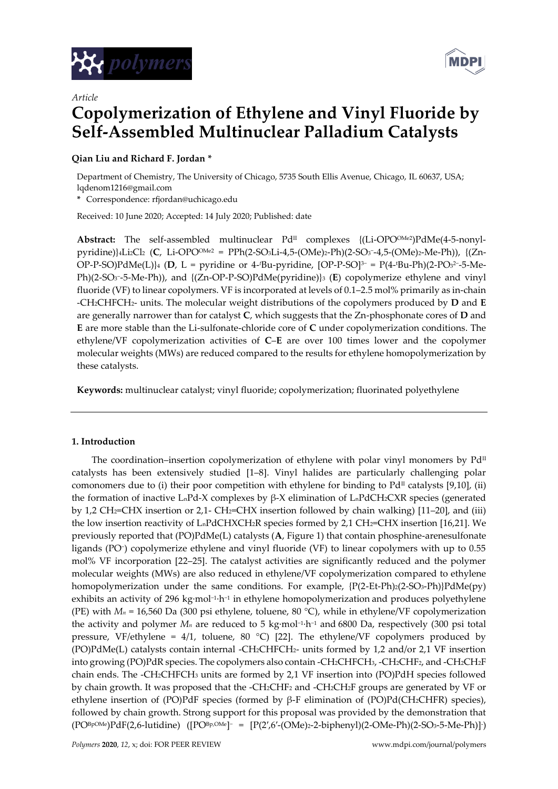



# *Article* **Copolymerization of Ethylene and Vinyl Fluoride by Self-Assembled Multinuclear Palladium Catalysts**

# **Qian Liu and Richard F. Jordan \***

Department of Chemistry, The University of Chicago, 5735 South Ellis Avenue, Chicago, IL 60637, USA; lqdenom1216@gmail.com

**\*** Correspondence: rfjordan@uchicago.edu

Received: 10 June 2020; Accepted: 14 July 2020; Published: date

Abstract: The self-assembled multinuclear Pd<sup>II</sup> complexes {(Li-OPO<sup>OMe2</sup>)PdMe(4-5-nonylpyridine)}4Li2Cl2 (**C**, Li-OPO<sup>OMe2</sup> = PPh(2-SO3Li-4,5-(OMe)2-Ph)(2-SO3<sup>-</sup>-4,5-(OMe)2-Me-Ph)), {(Zn-OP-P-SO)PdMe(L)}4 (**D**, L = pyridine or 4-*i*Bu-pyridine, [OP-P-SO]3− = P(4-iBu-Ph)(2-PO32−5-Me-Ph)(2-SO3<sup>-</sup>-5-Me-Ph)), and {(Zn-OP-P-SO)PdMe(pyridine)}3 (**E**) copolymerize ethylene and vinyl fluoride (VF) to linear copolymers. VF is incorporated at levels of 0.1–2.5 mol% primarily as in-chain -CH2CHFCH2- units. The molecular weight distributions of the copolymers produced by **D** and **E** are generally narrower than for catalyst **C**, which suggests that the Zn-phosphonate cores of **D** and **E** are more stable than the Li-sulfonate-chloride core of **C** under copolymerization conditions. The ethylene/VF copolymerization activities of **C**–**E** are over 100 times lower and the copolymer molecular weights (MWs) are reduced compared to the results for ethylene homopolymerization by these catalysts.

**Keywords:** multinuclear catalyst; vinyl fluoride; copolymerization; fluorinated polyethylene

## **1. Introduction**

The coordination–insertion copolymerization of ethylene with polar vinyl monomers by  $Pd<sup>\pi</sup>$ catalysts has been extensively studied [1–8]. Vinyl halides are particularly challenging polar comonomers due to (i) their poor competition with ethylene for binding to  $Pd<sup>\pi</sup>$  catalysts [9,10], (ii) the formation of inactive LnPd-X complexes by β-X elimination of LnPdCH2CXR species (generated by 1,2 CH2=CHX insertion or 2,1- CH2=CHX insertion followed by chain walking) [11–20], and (iii) the low insertion reactivity of  $L_nPdCHXCH2R$  species formed by 2,1 CH<sub>2</sub>=CHX insertion [16,21]. We previously reported that (PO)PdMe(L) catalysts (**A**, Figure 1) that contain phosphine-arenesulfonate ligands (PO<sup>−</sup> ) copolymerize ethylene and vinyl fluoride (VF) to linear copolymers with up to 0.55 mol% VF incorporation [22–25]. The catalyst activities are significantly reduced and the polymer molecular weights (MWs) are also reduced in ethylene/VF copolymerization compared to ethylene homopolymerization under the same conditions. For example,  $\{P(2-Et-Ph)2(2-SO3-Ph)\}PdMe(py)$ exhibits an activity of 296 kg·mol<sup>-1.</sup>h<sup>−1</sup> in ethylene homopolymerization and produces polyethylene (PE) with *M<sup>n</sup>* = 16,560 Da (300 psi ethylene, toluene, 80 °C), while in ethylene/VF copolymerization the activity and polymer *M<sup>n</sup>* are reduced to 5 kg∙mol−<sup>1</sup> ∙h−<sup>1</sup> and 6800 Da, respectively (300 psi total pressure, VF/ethylene =  $4/1$ , toluene, 80 °C) [22]. The ethylene/VF copolymers produced by (PO)PdMe(L) catalysts contain internal -CH2CHFCH2- units formed by 1,2 and/or 2,1 VF insertion into growing (PO)PdR species. The copolymers also contain -CH2CHFCH3, -CH2CHF2, and -CH2CH2F chain ends. The -CH2CHFCH<sup>3</sup> units are formed by 2,1 VF insertion into (PO)PdH species followed by chain growth. It was proposed that the -CH2CHF<sup>2</sup> and -CH2CH2F groups are generated by VF or ethylene insertion of (PO)PdF species (formed by β-F elimination of (PO)Pd(CH2CHFR) species), followed by chain growth. Strong support for this proposal was provided by the demonstration that (PO<sup>BpOMe</sup>)PdF(2,6-lutidine) ([PO<sup>Bp,OMe</sup>]<sup>-</sup> = [P(2′,6′-(OMe)2-2-biphenyl)(2-OMe-Ph)(2-SO3-5-Me-Ph)]<sup>-</sup>)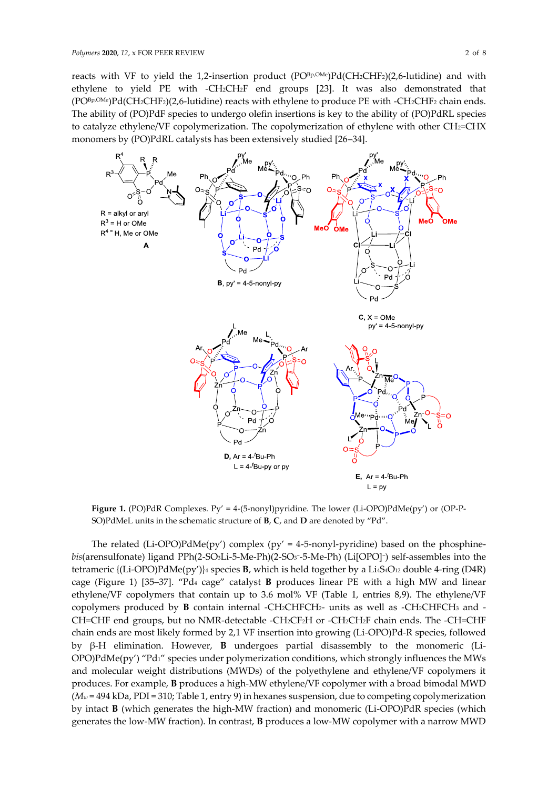reacts with VF to yield the 1,2-insertion product  $(PO^{Bp,OMe})Pd(CH2CHF2)(2,6-lutidine)$  and with ethylene to yield PE with -CH2CH2F end groups [23]. It was also demonstrated that  $(PO^{Bp,OMe})Pd(CH_2CHF_2)(2,6-lutidine)$  reacts with ethylene to produce PE with -CH<sub>2</sub>CHF<sub>2</sub> chain ends. The ability of (PO)PdF species to undergo olefin insertions is key to the ability of (PO)PdRL species to catalyze ethylene/VF copolymerization. The copolymerization of ethylene with other CH2=CHX monomers by (PO)PdRL catalysts has been extensively studied [26–34].



**Figure 1.** (PO)PdR Complexes. Py' = 4-(5-nonyl)pyridine. The lower (Li-OPO)PdMe(py') or (OP-P-SO)PdMeL units in the schematic structure of **B**, **C**, and **D** are denoted by "Pd".

The related (Li-OPO)PdMe(py') complex (py' = 4-5-nonyl-pyridine) based on the phosphine*bis*(arensulfonate) ligand PPh(2-SO3Li-5-Me-Ph)(2-SO<sup>3</sup> − -5-Me-Ph) (Li[OPO]<sup>−</sup> ) self-assembles into the tetrameric {(Li-OPO)PdMe(py')}<sup>4</sup> species **B**, which is held together by a Li4S4O<sup>12</sup> double 4-ring (D4R) cage (Figure 1) [35–37]. "Pd<sup>4</sup> cage" catalyst **B** produces linear PE with a high MW and linear ethylene/VF copolymers that contain up to 3.6 mol% VF (Table 1, entries 8,9). The ethylene/VF copolymers produced by **B** contain internal -CH2CHFCH2- units as well as -CH2CHFCH<sup>3</sup> and - CH=CHF end groups, but no NMR-detectable -CH2CF2H or -CH2CH2F chain ends. The -CH=CHF chain ends are most likely formed by 2,1 VF insertion into growing (Li-OPO)Pd-R species, followed by β-H elimination. However, **B** undergoes partial disassembly to the monomeric (Li-OPO)PdMe(py') "Pd1" species under polymerization conditions, which strongly influences the MWs and molecular weight distributions (MWDs) of the polyethylene and ethylene/VF copolymers it produces. For example, **B** produces a high-MW ethylene/VF copolymer with a broad bimodal MWD (*M<sup>w</sup>* = 494 kDa, PDI = 310; Table 1, entry 9) in hexanes suspension, due to competing copolymerization by intact **B** (which generates the high-MW fraction) and monomeric (Li-OPO)PdR species (which generates the low-MW fraction). In contrast, **B** produces a low-MW copolymer with a narrow MWD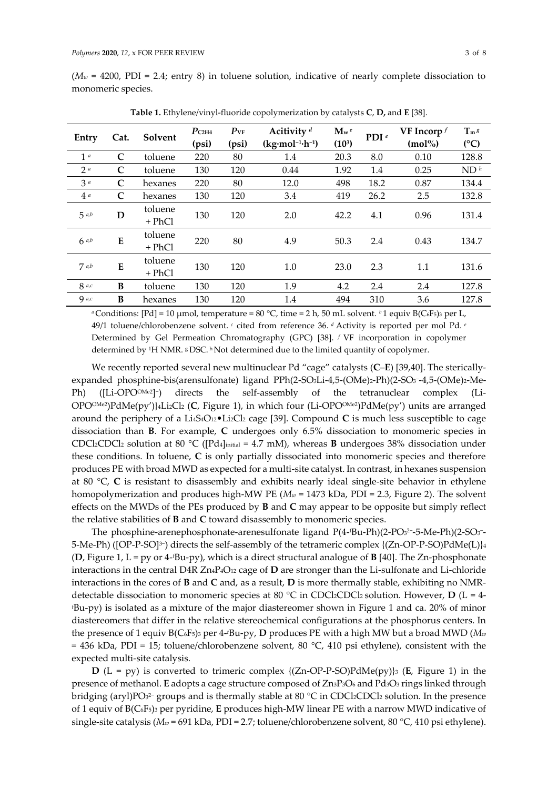$(M_w = 4200, \text{ PDI} = 2.4$ ; entry 8) in toluene solution, indicative of nearly complete dissociation to monomeric species.

| Entry          | Cat.         | Solvent           | $P_{C2H4}$<br>(psi) | $P_{VF}$<br>(psi) | Acitivity <sup>d</sup><br>$(kg·mol-1·h-1)$ | $\mathbf{M}_{w}e$<br>(10 <sup>3</sup> ) | PDI $e$ | VF Incorp $f$<br>$(mol\%)$ | $T_m s$<br>(C)  |
|----------------|--------------|-------------------|---------------------|-------------------|--------------------------------------------|-----------------------------------------|---------|----------------------------|-----------------|
| 1 <sup>a</sup> | $\mathbf C$  | toluene           | 220                 | 80                | 1.4                                        | 20.3                                    | 8.0     | 0.10                       | 128.8           |
| 2 <sup>a</sup> | $\mathsf{C}$ | toluene           | 130                 | 120               | 0.44                                       | 1.92                                    | 1.4     | 0.25                       | ND <sup>h</sup> |
| 3a             | C            | hexanes           | 220                 | 80                | 12.0                                       | 498                                     | 18.2    | 0.87                       | 134.4           |
| 4a             | $\mathbf C$  | hexanes           | 130                 | 120               | 3.4                                        | 419                                     | 26.2    | 2.5                        | 132.8           |
| 5a,b           | D            | toluene<br>+ PhCl | 130                 | 120               | 2.0                                        | 42.2                                    | 4.1     | 0.96                       | 131.4           |
| 6ab            | E            | toluene<br>+ PhCl | 220                 | 80                | 4.9                                        | 50.3                                    | 2.4     | 0.43                       | 134.7           |
| $7$ a,b        | ${\bf E}$    | toluene<br>+ PhCl | 130                 | 120               | 1.0                                        | 23.0                                    | 2.3     | 1.1                        | 131.6           |
| $8$ a,c        | B            | toluene           | 130                 | 120               | 1.9                                        | 4.2                                     | 2.4     | 2.4                        | 127.8           |
| $Q$ $a, c$     | B            | hexanes           | 130                 | 120               | 1.4                                        | 494                                     | 310     | 3.6                        | 127.8           |

**Table 1.** Ethylene/vinyl-fluoride copolymerization by catalysts **C**, **D,** and **E** [38].

*a* Conditions:  $[Pd] = 10 \mu$ mol, temperature = 80 °C, time = 2 h, 50 mL solvent. *b* 1 equiv B(C6F5)<sub>3</sub> per L, 49/1 toluene/chlorobenzene solvent. *<sup>c</sup>* cited from reference 36. *<sup>d</sup>* Activity is reported per mol Pd. *<sup>e</sup>* Determined by Gel Permeation Chromatography (GPC) [38]. *<sup>f</sup>* VF incorporation in copolymer determined by <sup>1</sup>H NMR. <sup>g</sup> DSC. <sup>h</sup>Not determined due to the limited quantity of copolymer.

We recently reported several new multinuclear Pd "cage" catalysts (C-E) [39,40]. The stericallyexpanded phosphine-bis(arensulfonate) ligand PPh(2-SO3Li-4,5-(OMe)2-Ph)(2-SO3--4,5-(OMe)2-Me-Ph) ([Li-OPO™e2]-) directs the self-assembly of the tetranuclear complex (Li-OPOOMe2)PdMe(py')}4Li2Cl<sup>2</sup> (**C**, Figure 1), in which four (Li-OPOOMe2)PdMe(py') units are arranged around the periphery of a Li4S4O12•Li2Cl<sup>2</sup> cage [39]. Compound **C** is much less susceptible to cage dissociation than **B**. For example, **C** undergoes only 6.5% dissociation to monomeric species in CDCl2CDCl<sup>2</sup> solution at 80 °C ([Pd4]initial = 4.7 mM), whereas **B** undergoes 38% dissociation under these conditions. In toluene, **C** is only partially dissociated into monomeric species and therefore produces PE with broad MWD as expected for a multi-site catalyst. In contrast, in hexanes suspension at 80 °C, **C** is resistant to disassembly and exhibits nearly ideal single-site behavior in ethylene homopolymerization and produces high-MW PE (*M<sup>w</sup>* = 1473 kDa, PDI = 2.3, Figure 2). The solvent effects on the MWDs of the PEs produced by **B** and **C** may appear to be opposite but simply reflect the relative stabilities of **B** and **C** toward disassembly to monomeric species.

The phosphine-arenephosphonate-arenesulfonate ligand P(4-∙Bu-Ph)(2-PO32-5-Me-Ph)(2-SO3--5-Me-Ph) ([OP-P-SO]3−) directs the self-assembly of the tetrameric complex {(Zn-OP-P-SO)PdMe(L)}4 (**D**, Figure 1, L = py or 4- *<sup>t</sup>*Bu-py), which is a direct structural analogue of **B** [40]. The Zn-phosphonate interactions in the central D4R Zn4P4O<sup>12</sup> cage of **D** are stronger than the Li-sulfonate and Li-chloride interactions in the cores of **B** and **C** and, as a result, **D** is more thermally stable, exhibiting no NMRdetectable dissociation to monomeric species at 80 °C in CDCl2CDCl2 solution. However, **D** (L = 4 *<sup>t</sup>*Bu-py) is isolated as a mixture of the major diastereomer shown in Figure 1 and ca. 20% of minor diastereomers that differ in the relative stereochemical configurations at the phosphorus centers. In the presence of 1 equiv B(C6F5)<sup>3</sup> per 4- *<sup>t</sup>*Bu-py, **D** produces PE with a high MW but a broad MWD (*M<sup>w</sup>*  $= 436$  kDa, PDI = 15; toluene/chlorobenzene solvent, 80 °C, 410 psi ethylene), consistent with the expected multi-site catalysis.

**D** (L = py) is converted to trimeric complex  $\{(Zn-OP-P-SO)PdMe(py)\}$ <sup>3</sup> (E, Figure 1) in the presence of methanol. **E** adopts a cage structure composed of Zn3P3O<sup>6</sup> and Pd3O<sup>3</sup> rings linked through bridging (aryl)PO3<sup>2-</sup> groups and is thermally stable at 80 °C in CDCl2CDCl2 solution. In the presence of 1 equiv of B(C6F5)<sup>3</sup> per pyridine, **E** produces high-MW linear PE with a narrow MWD indicative of single-site catalysis (*M<sup>w</sup>* = 691 kDa, PDI = 2.7; toluene/chlorobenzene solvent, 80 °C, 410 psi ethylene).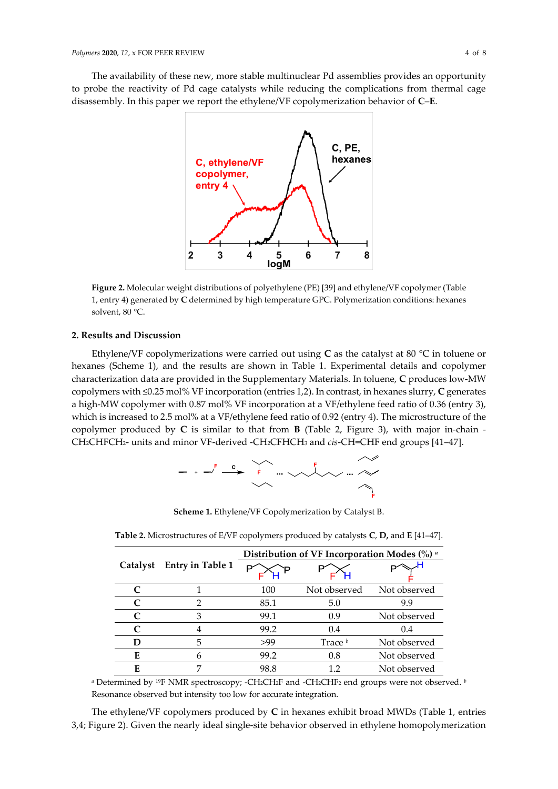The availability of these new, more stable multinuclear Pd assemblies provides an opportunity to probe the reactivity of Pd cage catalysts while reducing the complications from thermal cage disassembly. In this paper we report the ethylene/VF copolymerization behavior of **C**–**E**.



**Figure 2.** Molecular weight distributions of polyethylene (PE) [39] and ethylene/VF copolymer (Table 1, entry 4) generated by **C** determined by high temperature GPC. Polymerization conditions: hexanes solvent, 80 °C.

## **2. Results and Discussion**

Ethylene/VF copolymerizations were carried out using **C** as the catalyst at 80 °C in toluene or hexanes (Scheme 1), and the results are shown in Table 1. Experimental details and copolymer characterization data are provided in the Supplementary Materials. In toluene, **C** produces low-MW copolymers with ≤0.25 mol% VF incorporation (entries 1,2). In contrast, in hexanes slurry, **C** generates a high-MW copolymer with 0.87 mol% VF incorporation at a VF/ethylene feed ratio of 0.36 (entry 3), which is increased to 2.5 mol% at a VF/ethylene feed ratio of 0.92 (entry 4). The microstructure of the copolymer produced by **C** is similar to that from **B** (Table 2, Figure 3), with major in-chain - CH2CHFCH2- units and minor VF-derived -CH2CFHCH<sup>3</sup> and *cis*-CH=CHF end groups [41–47].



**Scheme 1.** Ethylene/VF Copolymerization by Catalyst B.

|                             |                         | Distribution of VF Incorporation Modes (%) a |              |              |  |  |  |
|-----------------------------|-------------------------|----------------------------------------------|--------------|--------------|--|--|--|
| Catalyst                    | <b>Entry in Table 1</b> |                                              |              |              |  |  |  |
|                             |                         | 100                                          | Not observed | Not observed |  |  |  |
|                             |                         | 85.1                                         | 5.0          | 9.9          |  |  |  |
|                             | З                       | 99.1                                         | 0.9          | Not observed |  |  |  |
| $\mathcal{C}_{\mathcal{C}}$ |                         | 99.2                                         | 0.4          | 0.4          |  |  |  |
|                             | 5                       | >99                                          | Trace $^b$   | Not observed |  |  |  |
| E                           |                         | 99.2                                         | 0.8          | Not observed |  |  |  |
| E                           |                         | 98.8                                         | 12           | Not observed |  |  |  |

**Table 2.** Microstructures of E/VF copolymers produced by catalysts **C**, **D,** and **E** [41–47].

*<sup>a</sup>* Determined by <sup>19</sup>F NMR spectroscopy; -CH2CH2F and -CH2CHF<sup>2</sup> end groups were not observed. *<sup>b</sup>* Resonance observed but intensity too low for accurate integration.

The ethylene/VF copolymers produced by **C** in hexanes exhibit broad MWDs (Table 1, entries 3,4; Figure 2). Given the nearly ideal single-site behavior observed in ethylene homopolymerization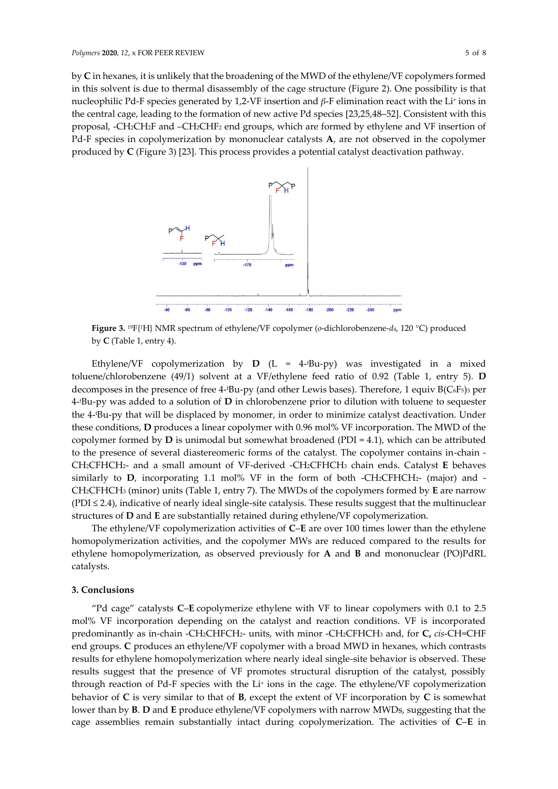by **C** in hexanes, it is unlikely that the broadening of the MWD of the ethylene/VF copolymers formed in this solvent is due to thermal disassembly of the cage structure (Figure 2). One possibility is that nucleophilic Pd-F species generated by 1,2-VF insertion and *β*-F elimination react with the Li<sup>+</sup> ions in the central cage, leading to the formation of new active Pd species [23,25,48–52]. Consistent with this proposal, -CH2CH2F and –CH2CHF<sup>2</sup> end groups, which are formed by ethylene and VF insertion of Pd-F species in copolymerization by mononuclear catalysts **A**, are not observed in the copolymer produced by **C** (Figure 3) [23]. This process provides a potential catalyst deactivation pathway.



**Figure 3.**  <sup>19</sup>F{<sup>1</sup>H} NMR spectrum of ethylene/VF copolymer (*o*-dichlorobenzene-*d*4, 120 °C) produced by **C** (Table 1, entry 4).

Ethylene/VF copolymerization by **D** (L = 4- <sup>t</sup>Bu-py) was investigated in a mixed toluene/chlorobenzene (49/1) solvent at a VF/ethylene feed ratio of 0.92 (Table 1, entry 5). **D** decomposes in the presence of free 4- <sup>t</sup>Bu-py (and other Lewis bases). Therefore, 1 equiv B(C6F5)<sup>3</sup> per 4- <sup>t</sup>Bu-py was added to a solution of **D** in chlorobenzene prior to dilution with toluene to sequester the 4- <sup>t</sup>Bu-py that will be displaced by monomer, in order to minimize catalyst deactivation. Under these conditions, **D** produces a linear copolymer with 0.96 mol% VF incorporation. The MWD of the copolymer formed by **D** is unimodal but somewhat broadened (PDI = 4.1), which can be attributed to the presence of several diastereomeric forms of the catalyst. The copolymer contains in-chain - CH2CFHCH2- and a small amount of VF-derived -CH2CFHCH<sup>3</sup> chain ends. Catalyst **E** behaves similarly to **D**, incorporating 1.1 mol% VF in the form of both -CH2CFHCH2- (major) and - CH2CFHCH<sup>3</sup> (minor) units (Table 1, entry 7). The MWDs of the copolymers formed by **E** are narrow (PDI ≤ 2.4), indicative of nearly ideal single-site catalysis. These results suggest that the multinuclear structures of **D** and **E** are substantially retained during ethylene/VF copolymerization.

The ethylene/VF copolymerization activities of **C**–**E** are over 100 times lower than the ethylene homopolymerization activities, and the copolymer MWs are reduced compared to the results for ethylene homopolymerization, as observed previously for **A** and **B** and mononuclear (PO)PdRL catalysts.

### **3. Conclusions**

"Pd cage" catalysts **C**‒**E** copolymerize ethylene with VF to linear copolymers with 0.1 to 2.5 mol% VF incorporation depending on the catalyst and reaction conditions. VF is incorporated predominantly as in-chain -CH2CHFCH2- units, with minor -CH2CFHCH<sup>3</sup> and, for **C,** *cis*-CH=CHF end groups. **C** produces an ethylene/VF copolymer with a broad MWD in hexanes, which contrasts results for ethylene homopolymerization where nearly ideal single-site behavior is observed. These results suggest that the presence of VF promotes structural disruption of the catalyst, possibly through reaction of Pd-F species with the Li<sup>+</sup> ions in the cage. The ethylene/VF copolymerization behavior of **C** is very similar to that of **B**, except the extent of VF incorporation by **C** is somewhat lower than by **B**. **D** and **E** produce ethylene/VF copolymers with narrow MWDs, suggesting that the cage assemblies remain substantially intact during copolymerization. The activities of **C**–**E** in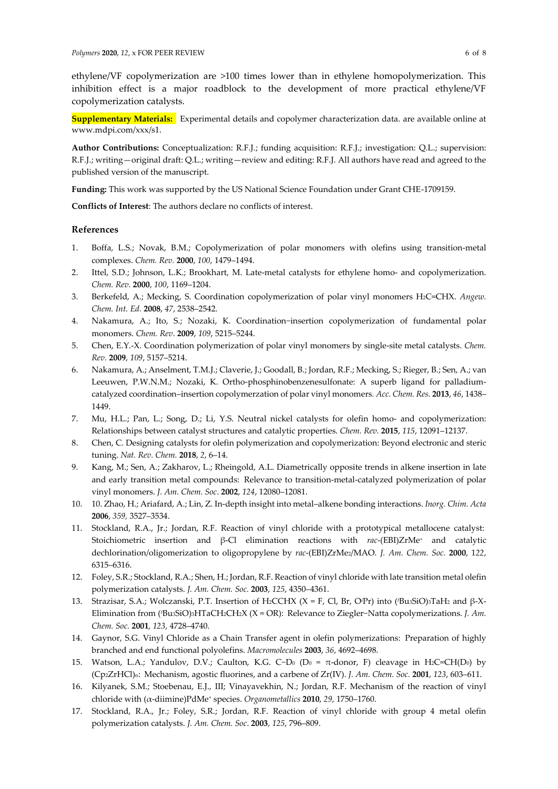ethylene/VF copolymerization are >100 times lower than in ethylene homopolymerization. This inhibition effect is a major roadblock to the development of more practical ethylene/VF copolymerization catalysts.

**Supplementary Materials:** Experimental details and copolymer characterization data. are available online at www.mdpi.com/xxx/s1.

**Author Contributions:** Conceptualization: R.F.J.; funding acquisition: R.F.J.; investigation: Q.L.; supervision: R.F.J.; writing—original draft: Q.L.; writing—review and editing: R.F.J. All authors have read and agreed to the published version of the manuscript.

**Funding:** This work was supported by the US National Science Foundation under Grant CHE-1709159.

**Conflicts of Interest**: The authors declare no conflicts of interest.

### **References**

- 1. Boffa, L.S.; Novak, B.M.; Copolymerization of polar monomers with olefins using transition-metal complexes. *Chem. Rev.* **2000**, *100*, 1479–1494.
- 2. Ittel, S.D.; Johnson, L.K.; Brookhart, M. Late-metal catalysts for ethylene homo- and copolymerization. *Chem. Rev.* **2000**, *100*, 1169–1204.
- 3. Berkefeld, A.; Mecking, S. Coordination copolymerization of polar vinyl monomers H2C=CHX. *Angew. Chem. Int. Ed.* **2008**, *47*, 2538–2542.
- 4. Nakamura, A.; Ito, S.; Nozaki, K. Coordination−insertion copolymerization of fundamental polar monomers. *Chem. Rev*. **2009**, *109*, 5215–5244.
- 5. Chen, E.Y.-X. Coordination polymerization of polar vinyl monomers by single-site metal catalysts. *Chem. Rev.* **2009**, *109*, 5157–5214.
- 6. Nakamura, A.; Anselment, T.M.J.; Claverie, J.; Goodall, B.; Jordan, R.F.; Mecking, S.; Rieger, B.; Sen, A.; van Leeuwen, P.W.N.M.; Nozaki, K. Ortho-phosphinobenzenesulfonate: A superb ligand for palladiumcatalyzed coordination–insertion copolymerzation of polar vinyl monomers*. Acc. Chem. Res.* **2013**, *46*, 1438– 1449.
- 7. Mu, H.L.; Pan, L.; Song, D.; Li, Y.S. Neutral nickel catalysts for olefin homo- and copolymerization: Relationships between catalyst structures and catalytic properties. *Chem. Rev.* **2015**, *115*, 12091–12137.
- 8. Chen, C. Designing catalysts for olefin polymerization and copolymerization: Beyond electronic and steric tuning. *Nat. Rev. Chem.* **2018**, *2*, 6–14.
- 9. Kang, M.; Sen, A.; Zakharov, L.; Rheingold, A.L. Diametrically opposite trends in alkene insertion in late and early transition metal compounds:  Relevance to transition-metal-catalyzed polymerization of polar vinyl monomers. *J. Am. Chem. Soc*. **2002**, *124*, 12080–12081.
- 10. 10. Zhao, H.; Ariafard, A.; Lin, Z. In-depth insight into metal–alkene bonding interactions. *Inorg. Chim. Acta*  **2006**, *359,* 3527–3534.
- 11. Stockland, R.A., Jr.; Jordan, R.F. Reaction of vinyl chloride with a prototypical metallocene catalyst:  Stoichiometric insertion and β-Cl elimination reactions with *rac*-(EBI)ZrMe<sup>+</sup> and catalytic dechlorination/oligomerization to oligopropylene by *rac*-(EBI)ZrMe2/MAO. *J. Am. Chem. Soc.* **2000**, 1*22*, 6315–6316.
- 12. Foley, S.R.; Stockland, R.A.; Shen, H.; Jordan, R.F. Reaction of vinyl chloride with late transition metal olefin polymerization catalysts. *J. Am. Chem. Soc.* **2003**, *125*, 4350–4361.
- 13. Strazisar, S.A.; Wolczanski, P.T. Insertion of H2CCHX (X = F, Cl, Br, O*<sup>i</sup>*Pr) into ( *<sup>t</sup>*Bu3SiO)3TaH<sup>2</sup> and β-X-Elimination from ( *<sup>t</sup>*Bu3SiO)3HTaCH2CH2X (X = OR):  Relevance to Ziegler−Natta copolymerizations. *J. Am. Chem. Soc.* **2001**, *123*, 4728–4740.
- 14. Gaynor, S.G. Vinyl Chloride as a Chain Transfer agent in olefin polymerizations:  Preparation of highly branched and end functional polyolefins. *Macromolecules* **2003**, *36*, 4692–4698.
- 15. Watson, L.A.; Yandulov, D.V.; Caulton, K.G. C−D<sup>0</sup> (D<sup>0</sup> = π-donor, F) cleavage in H2C=CH(D0) by (Cp2ZrHCl)n:  Mechanism, agostic fluorines, and a carbene of Zr(IV). *J. Am. Chem. Soc.* **2001**, *123*, 603–611.
- 16. Kilyanek, S.M.; Stoebenau, E.J., III; Vinayavekhin, N.; Jordan, R.F. Mechanism of the reaction of vinyl chloride with (α-diimine)PdMe<sup>+</sup> species. *Organometallics* **2010**, *29*, 1750–1760.
- 17. Stockland, R.A., Jr.; Foley, S.R.; Jordan, R.F. Reaction of vinyl chloride with group 4 metal olefin polymerization catalysts. *J. Am. Chem. Soc*. **2003**, *125*, 796–809.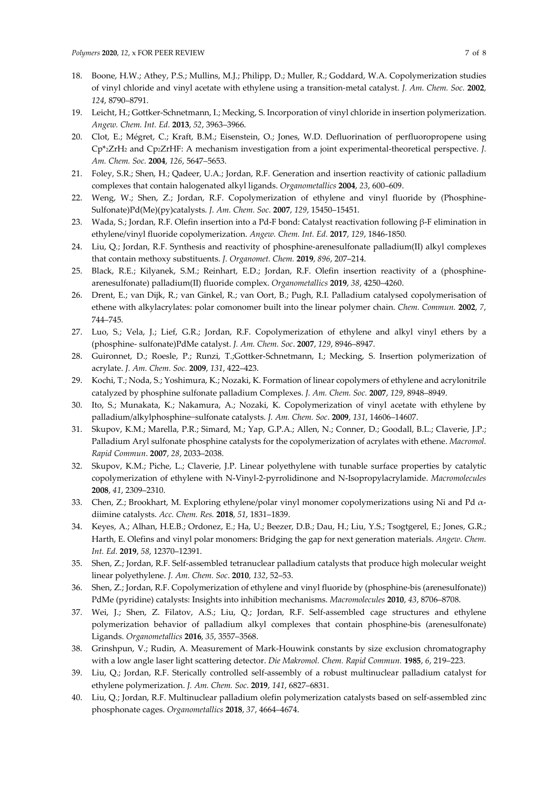- 18. Boone, H.W.; Athey, P.S.; Mullins, M.J.; Philipp, D.; Muller, R.; Goddard, W.A. Copolymerization studies of vinyl chloride and vinyl acetate with ethylene using a transition-metal catalyst. *J. Am. Chem. Soc.* **2002**, *124*, 8790–8791.
- 19. Leicht, H.; Gottker-Schnetmann, I.; Mecking, S. Incorporation of vinyl chloride in insertion polymerization. *Angew. Chem. Int. Ed.* **2013**, *52*, 3963–3966.
- 20. Clot, E.; Mégret, C.; Kraft, B.M.; Eisenstein, O.; Jones, W.D. Defluorination of perfluoropropene using Cp\*2ZrH<sup>2</sup> and Cp2ZrHF: A mechanism investigation from a joint experimental-theoretical perspective. *J. Am. Chem. Soc.* **2004**, *126*, 5647–5653.
- 21. Foley, S.R.; Shen, H.; Qadeer, U.A.; Jordan, R.F. Generation and insertion reactivity of cationic palladium complexes that contain halogenated alkyl ligands. *Organometallics* **2004**, *23*, 600–609.
- 22. Weng, W.; Shen, Z.; Jordan, R.F. Copolymerization of ethylene and vinyl fluoride by (Phosphine-Sulfonate)Pd(Me)(py)catalysts. *J. Am. Chem. Soc.* **2007**, *129*, 15450–15451.
- 23. Wada, S.; Jordan, R.F. Olefin insertion into a Pd-F bond: Catalyst reactivation following β-F elimination in ethylene/vinyl fluoride copolymerization. *Angew. Chem. Int. Ed.* **2017**, *129*, 1846-1850*.*
- 24. Liu, Q.; Jordan, R.F. Synthesis and reactivity of phosphine-arenesulfonate palladium(II) alkyl complexes that contain methoxy substituents. *J. Organomet. Chem.* **2019**, *896*, 207–214.
- 25. Black, R.E.; Kilyanek, S.M.; Reinhart, E.D.; Jordan, R.F. Olefin insertion reactivity of a (phosphinearenesulfonate) palladium(II) fluoride complex. *Organometallics* **2019**, *38*, 4250–4260.
- 26. Drent, E.; van Dijk, R.; van Ginkel, R.; van Oort, B.; Pugh, R.I. Palladium catalysed copolymerisation of ethene with alkylacrylates: polar comonomer built into the linear polymer chain. *Chem. Commun.* **2002**, *7*, 744–745.
- 27. Luo, S.; Vela, J.; Lief, G.R.; Jordan, R.F. Copolymerization of ethylene and alkyl vinyl ethers by a (phosphine- sulfonate)PdMe catalyst. *J. Am. Chem. Soc*. **2007**, *129*, 8946–8947.
- 28. Guironnet, D.; Roesle, P.; Runzi, T.;Gottker-Schnetmann, I.; Mecking, S. Insertion polymerization of acrylate. *J. Am. Chem. Soc.* **2009**, *131*, 422–423.
- 29. Kochi, T.; Noda, S.; Yoshimura, K.; Nozaki, K. Formation of linear copolymers of ethylene and acrylonitrile catalyzed by phosphine sulfonate palladium Complexes. *J. Am. Chem. Soc.* **2007**, *129*, 8948–8949.
- 30. Ito, S.; Munakata, K.; Nakamura, A.; Nozaki, K. Copolymerization of vinyl acetate with ethylene by palladium/alkylphosphine−sulfonate catalysts. *J. Am. Chem. Soc*. **2009**, *131*, 14606–14607.
- 31. Skupov, K.M.; Marella, P.R.; Simard, M.; Yap, G.P.A.; Allen, N.; Conner, D.; Goodall, B.L.; Claverie, J.P.; Palladium Aryl sulfonate phosphine catalysts for the copolymerization of acrylates with ethene. *Macromol. Rapid Commun*. **2007**, *28*, 2033–2038.
- 32. Skupov, K.M.; Piche, L.; Claverie, J.P. Linear polyethylene with tunable surface properties by catalytic copolymerization of ethylene with N-Vinyl-2-pyrrolidinone and N-Isopropylacrylamide. *Macromolecules*  **2008**, *41*, 2309–2310.
- 33. Chen, Z.; Brookhart, M. Exploring ethylene/polar vinyl monomer copolymerizations using Ni and Pd  $\alpha$ diimine catalysts. *Acc. Chem. Res.* **2018**, *51*, 1831–1839.
- 34. Keyes, A.; Alhan, H.E.B.; Ordonez, E.; Ha, U.; Beezer, D.B.; Dau, H.; Liu, Y.S.; Tsogtgerel, E.; Jones, G.R.; Harth, E. Olefins and vinyl polar monomers: Bridging the gap for next generation materials. *Angew. Chem. Int. Ed.* **2019**, *58*, 12370–12391.
- 35. Shen, Z.; Jordan, R.F. Self-assembled tetranuclear palladium catalysts that produce high molecular weight linear polyethylene. *J. Am. Chem. Soc*. **2010**, *132*, 52–53.
- 36. Shen, Z.; Jordan, R.F. Copolymerization of ethylene and vinyl fluoride by (phosphine-bis (arenesulfonate)) PdMe (pyridine) catalysts: Insights into inhibition mechanisms. *Macromolecules* **2010**, *43*, 8706–8708.
- 37. Wei, J.; Shen, Z. Filatov, A.S.; Liu, Q.; Jordan, R.F. Self-assembled cage structures and ethylene polymerization behavior of palladium alkyl complexes that contain phosphine-bis (arenesulfonate) Ligands. *Organometallics* **2016**, *35*, 3557–3568.
- 38. Grinshpun, V.; Rudin, A. Measurement of Mark-Houwink constants by size exclusion chromatography with a low angle laser light scattering detector. *Die Makromol. Chem. Rapid Commun.* **1985**, *6*, 219–223.
- 39. Liu, Q.; Jordan, R.F. Sterically controlled self-assembly of a robust multinuclear palladium catalyst for ethylene polymerization. *J. Am. Chem. Soc*. **2019**, *141*, 6827–6831.
- 40. Liu, Q.; Jordan, R.F. Multinuclear palladium olefin polymerization catalysts based on self-assembled zinc phosphonate cages. *Organometallics* **2018**, *37*, 4664–4674.